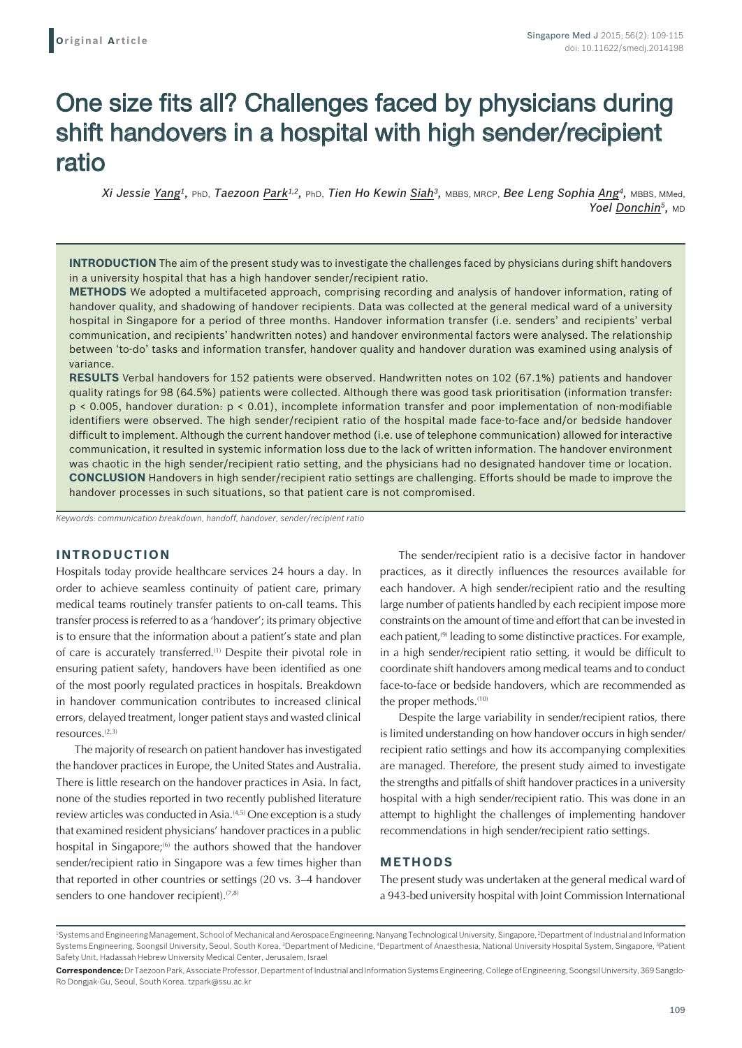# One size fits all? Challenges faced by physicians during shift handovers in a hospital with high sender/recipient ratio

*Xi Jessie Yang1,* PhD, *Taezoon Park1,2,* PhD, *Tien Ho Kewin Siah3,* MBBS, MRCP, *Bee Leng Sophia Ang4,* MBBS, MMed, *Yoel Donchin<sup>5</sup>***, MD** 

**INTRODUCTION** The aim of the present study was to investigate the challenges faced by physicians during shift handovers in a university hospital that has a high handover sender/recipient ratio.

**METHODS** We adopted a multifaceted approach, comprising recording and analysis of handover information, rating of handover quality, and shadowing of handover recipients. Data was collected at the general medical ward of a university hospital in Singapore for a period of three months. Handover information transfer (i.e. senders' and recipients' verbal communication, and recipients' handwritten notes) and handover environmental factors were analysed. The relationship between 'to-do' tasks and information transfer, handover quality and handover duration was examined using analysis of variance.

**RESULTS** Verbal handovers for 152 patients were observed. Handwritten notes on 102 (67.1%) patients and handover quality ratings for 98 (64.5%) patients were collected. Although there was good task prioritisation (information transfer: p < 0.005, handover duration: p < 0.01), incomplete information transfer and poor implementation of non-modifiable identifiers were observed. The high sender/recipient ratio of the hospital made face-to-face and/or bedside handover difficult to implement. Although the current handover method (i.e. use of telephone communication) allowed for interactive communication, it resulted in systemic information loss due to the lack of written information. The handover environment was chaotic in the high sender/recipient ratio setting, and the physicians had no designated handover time or location. **CONCLUSION** Handovers in high sender/recipient ratio settings are challenging. Efforts should be made to improve the handover processes in such situations, so that patient care is not compromised.

*Keywords: communication breakdown, handoff, handover, sender/recipient ratio*

## **INTRODUCTION**

Hospitals today provide healthcare services 24 hours a day. In order to achieve seamless continuity of patient care, primary medical teams routinely transfer patients to on-call teams. This transfer process is referred to as a 'handover'; its primary objective is to ensure that the information about a patient's state and plan of care is accurately transferred.(1) Despite their pivotal role in ensuring patient safety, handovers have been identified as one of the most poorly regulated practices in hospitals. Breakdown in handover communication contributes to increased clinical errors, delayed treatment, longer patient stays and wasted clinical resources.(2,3)

The majority of research on patient handover has investigated the handover practices in Europe, the United States and Australia. There is little research on the handover practices in Asia. In fact, none of the studies reported in two recently published literature review articles was conducted in Asia.<sup>(4,5)</sup> One exception is a study that examined resident physicians' handover practices in a public hospital in Singapore;<sup>(6)</sup> the authors showed that the handover sender/recipient ratio in Singapore was a few times higher than that reported in other countries or settings (20 vs. 3–4 handover senders to one handover recipient).<sup>(7,8)</sup>

The sender/recipient ratio is a decisive factor in handover practices, as it directly influences the resources available for each handover. A high sender/recipient ratio and the resulting large number of patients handled by each recipient impose more constraints on the amount of time and effort that can be invested in each patient,<sup>(9)</sup> leading to some distinctive practices. For example, in a high sender/recipient ratio setting, it would be difficult to coordinate shift handovers among medical teams and to conduct face-to-face or bedside handovers, which are recommended as the proper methods.<sup>(10)</sup>

Despite the large variability in sender/recipient ratios, there is limited understanding on how handover occurs in high sender/ recipient ratio settings and how its accompanying complexities are managed. Therefore, the present study aimed to investigate the strengths and pitfalls of shift handover practices in a university hospital with a high sender/recipient ratio. This was done in an attempt to highlight the challenges of implementing handover recommendations in high sender/recipient ratio settings.

### **METHODS**

The present study was undertaken at the general medical ward of a 943-bed university hospital with Joint Commission International

<sup>&</sup>lt;sup>1</sup>Systems and Engineering Management, School of Mechanical and Aerospace Engineering, Nanyang Technological University, Singapore, <sup>2</sup>Department of Industrial and Information Systems Engineering, Soongsil University, Seoul, South Korea, <sup>3</sup>Department of Medicine, <sup>4</sup>Department of Anaesthesia, National University Hospital System, Singapore, <sup>s</sup>Patient Safety Unit, Hadassah Hebrew University Medical Center, Jerusalem, Israel

**Correspondence:** Dr Taezoon Park, Associate Professor, Department of Industrial and Information Systems Engineering, College of Engineering, Soongsil University, 369Sangdo-Ro Dongjak-Gu, Seoul, South Korea. tzpark@ssu.ac.kr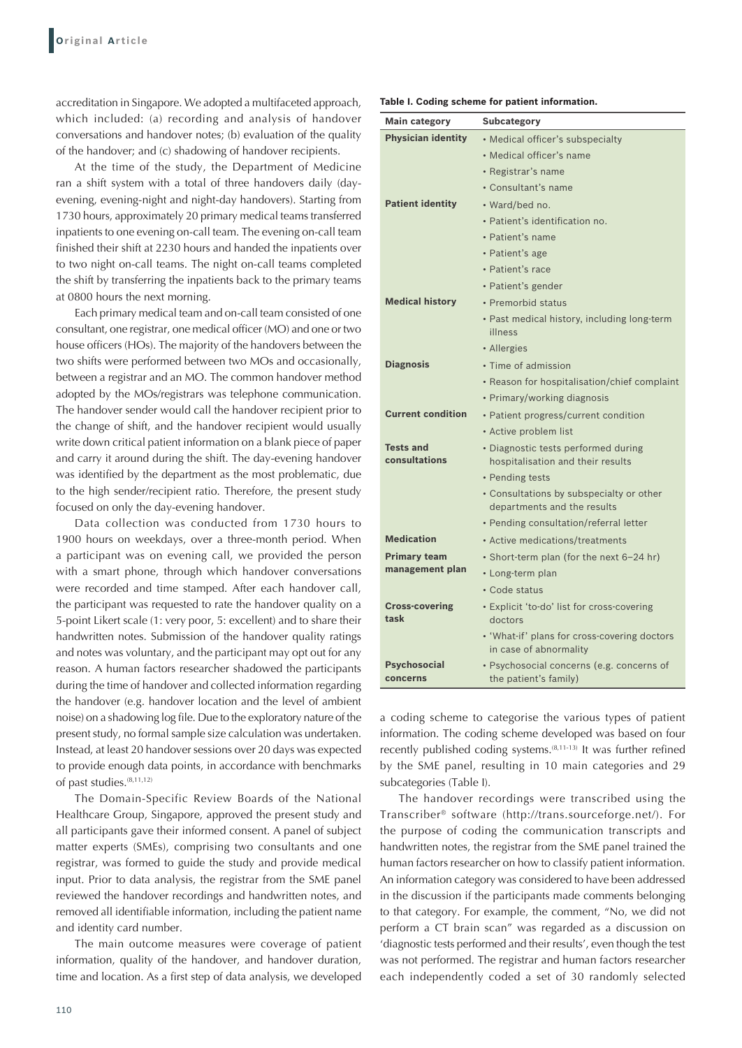accreditation in Singapore. We adopted a multifaceted approach, which included: (a) recording and analysis of handover conversations and handover notes; (b) evaluation of the quality of the handover; and (c) shadowing of handover recipients.

At the time of the study, the Department of Medicine ran a shift system with a total of three handovers daily (dayevening, evening-night and night-day handovers). Starting from 1730 hours, approximately 20 primary medical teams transferred inpatients to one evening on-call team. The evening on-call team finished their shift at 2230 hours and handed the inpatients over to two night on-call teams. The night on-call teams completed the shift by transferring the inpatients back to the primary teams at 0800 hours the next morning.

Each primary medical team and on-call team consisted of one consultant, one registrar, one medical officer (MO) and one or two house officers (HOs). The majority of the handovers between the two shifts were performed between two MOs and occasionally, between a registrar and an MO. The common handover method adopted by the MOs/registrars was telephone communication. The handover sender would call the handover recipient prior to the change of shift, and the handover recipient would usually write down critical patient information on a blank piece of paper and carry it around during the shift. The day-evening handover was identified by the department as the most problematic, due to the high sender/recipient ratio. Therefore, the present study focused on only the day-evening handover.

Data collection was conducted from 1730 hours to 1900 hours on weekdays, over a three-month period. When a participant was on evening call, we provided the person with a smart phone, through which handover conversations were recorded and time stamped. After each handover call, the participant was requested to rate the handover quality on a 5-point Likert scale (1: very poor, 5: excellent) and to share their handwritten notes. Submission of the handover quality ratings and notes was voluntary, and the participant may opt out for any reason. A human factors researcher shadowed the participants during the time of handover and collected information regarding the handover (e.g. handover location and the level of ambient noise) on a shadowing log file. Due to the exploratory nature of the present study, no formal sample size calculation was undertaken. Instead, at least 20 handover sessions over 20 days was expected to provide enough data points, in accordance with benchmarks of past studies.(8,11,12)

The Domain-Specific Review Boards of the National Healthcare Group, Singapore, approved the present study and all participants gave their informed consent. A panel of subject matter experts (SMEs), comprising two consultants and one registrar, was formed to guide the study and provide medical input. Prior to data analysis, the registrar from the SME panel reviewed the handover recordings and handwritten notes, and removed all identifiable information, including the patient name and identity card number.

The main outcome measures were coverage of patient information, quality of the handover, and handover duration, time and location. As a first step of data analysis, we developed

| Table I. Coding scheme for patient information. |  |
|-------------------------------------------------|--|
|-------------------------------------------------|--|

| <b>Main category</b>              | <b>Subcategory</b>                                                       |  |  |  |
|-----------------------------------|--------------------------------------------------------------------------|--|--|--|
| <b>Physician identity</b>         | • Medical officer's subspecialty                                         |  |  |  |
|                                   | • Medical officer's name                                                 |  |  |  |
|                                   | • Registrar's name                                                       |  |  |  |
|                                   | • Consultant's name                                                      |  |  |  |
| <b>Patient identity</b>           | • Ward/bed no.                                                           |  |  |  |
|                                   | · Patient's identification no.                                           |  |  |  |
|                                   | • Patient's name                                                         |  |  |  |
|                                   | • Patient's age                                                          |  |  |  |
|                                   | • Patient's race                                                         |  |  |  |
|                                   | • Patient's gender                                                       |  |  |  |
| <b>Medical history</b>            | • Premorbid status                                                       |  |  |  |
|                                   | · Past medical history, including long-term<br>illness                   |  |  |  |
|                                   | • Allergies                                                              |  |  |  |
| <b>Diagnosis</b>                  | • Time of admission                                                      |  |  |  |
|                                   | • Reason for hospitalisation/chief complaint                             |  |  |  |
|                                   | • Primary/working diagnosis                                              |  |  |  |
| <b>Current condition</b>          | • Patient progress/current condition                                     |  |  |  |
|                                   | • Active problem list                                                    |  |  |  |
| <b>Tests and</b><br>consultations | • Diagnostic tests performed during<br>hospitalisation and their results |  |  |  |
|                                   | • Pending tests                                                          |  |  |  |
|                                   | • Consultations by subspecialty or other<br>departments and the results  |  |  |  |
|                                   | • Pending consultation/referral letter                                   |  |  |  |
| <b>Medication</b>                 | • Active medications/treatments                                          |  |  |  |
| <b>Primary team</b>               | • Short-term plan (for the next 6–24 hr)                                 |  |  |  |
| management plan                   | • Long-term plan                                                         |  |  |  |
|                                   | • Code status                                                            |  |  |  |
| <b>Cross-covering</b><br>task     | • Explicit 'to-do' list for cross-covering<br>doctors                    |  |  |  |
|                                   | • 'What-if' plans for cross-covering doctors<br>in case of abnormality   |  |  |  |
| Psychosocial<br>concerns          | • Psychosocial concerns (e.g. concerns of<br>the patient's family)       |  |  |  |

a coding scheme to categorise the various types of patient information. The coding scheme developed was based on four recently published coding systems.<sup>(8,11-13)</sup> It was further refined by the SME panel, resulting in 10 main categories and 29 subcategories (Table I).

The handover recordings were transcribed using the Transcriber® software (http://trans.sourceforge.net/). For the purpose of coding the communication transcripts and handwritten notes, the registrar from the SME panel trained the human factors researcher on how to classify patient information. An information category was considered to have been addressed in the discussion if the participants made comments belonging to that category. For example, the comment, "No, we did not perform a CT brain scan" was regarded as a discussion on 'diagnostic tests performed and their results', even though the test was not performed. The registrar and human factors researcher each independently coded a set of 30 randomly selected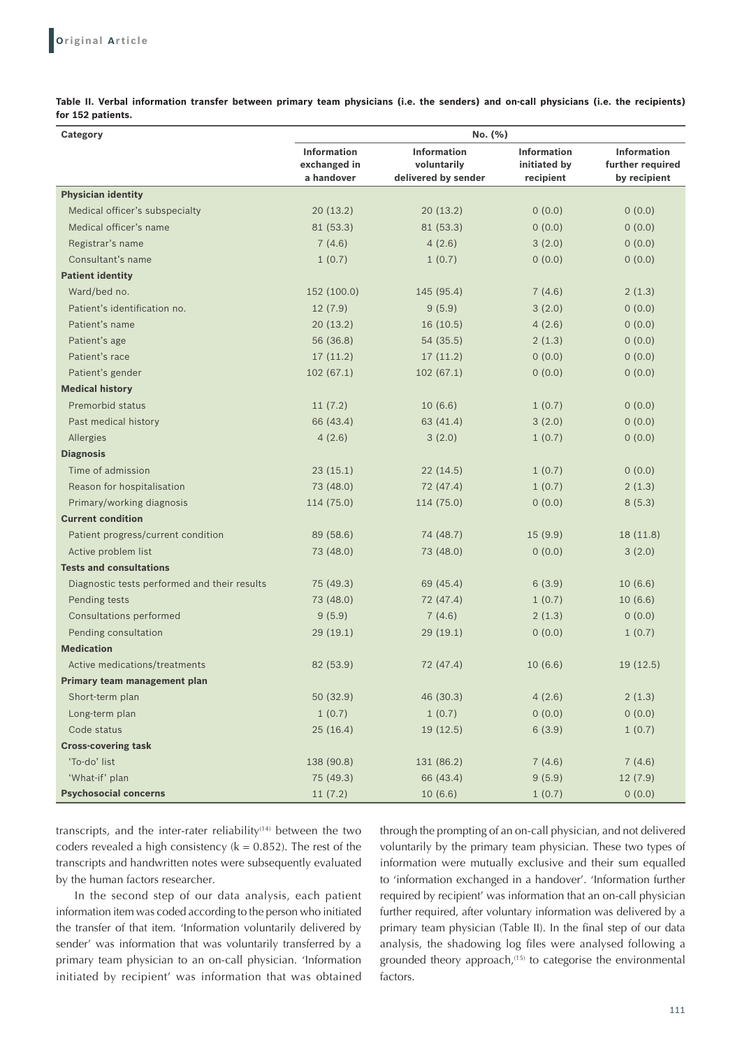**Table II. Verbal information transfer between primary team physicians (i.e. the senders) and on‑call physicians (i.e. the recipients) for 152 patients.**

| No. (%)<br><b>Category</b>                   |                                                  |                                                          |                                                 |                                                        |
|----------------------------------------------|--------------------------------------------------|----------------------------------------------------------|-------------------------------------------------|--------------------------------------------------------|
|                                              | <b>Information</b><br>exchanged in<br>a handover | <b>Information</b><br>voluntarily<br>delivered by sender | <b>Information</b><br>initiated by<br>recipient | <b>Information</b><br>further required<br>by recipient |
| <b>Physician identity</b>                    |                                                  |                                                          |                                                 |                                                        |
| Medical officer's subspecialty               | 20(13.2)                                         | 20(13.2)                                                 | 0(0.0)                                          | 0(0.0)                                                 |
| Medical officer's name                       | 81 (53.3)                                        | 81 (53.3)                                                | 0(0.0)                                          | 0(0.0)                                                 |
| Registrar's name                             | 7(4.6)                                           | 4(2.6)                                                   | 3(2.0)                                          | 0(0.0)                                                 |
| Consultant's name                            | 1(0.7)                                           | 1(0.7)                                                   | 0(0.0)                                          | 0(0.0)                                                 |
| <b>Patient identity</b>                      |                                                  |                                                          |                                                 |                                                        |
| Ward/bed no.                                 | 152 (100.0)                                      | 145 (95.4)                                               | 7(4.6)                                          | 2(1.3)                                                 |
| Patient's identification no.                 | 12(7.9)                                          | 9(5.9)                                                   | 3(2.0)                                          | 0(0.0)                                                 |
| Patient's name                               | 20(13.2)                                         | 16(10.5)                                                 | 4(2.6)                                          | 0(0.0)                                                 |
| Patient's age                                | 56 (36.8)                                        | 54 (35.5)                                                | 2(1.3)                                          | 0(0.0)                                                 |
| Patient's race                               | 17(11.2)                                         | 17(11.2)                                                 | 0(0.0)                                          | 0(0.0)                                                 |
| Patient's gender                             | 102(67.1)                                        | 102(67.1)                                                | 0(0.0)                                          | 0(0.0)                                                 |
| <b>Medical history</b>                       |                                                  |                                                          |                                                 |                                                        |
| Premorbid status                             | 11(7.2)                                          | 10(6.6)                                                  | 1(0.7)                                          | 0(0.0)                                                 |
| Past medical history                         | 66 (43.4)                                        | 63 (41.4)                                                | 3(2.0)                                          | 0(0.0)                                                 |
| Allergies                                    | 4(2.6)                                           | 3(2.0)                                                   | 1(0.7)                                          | 0(0.0)                                                 |
| <b>Diagnosis</b>                             |                                                  |                                                          |                                                 |                                                        |
| Time of admission                            | 23(15.1)                                         | 22(14.5)                                                 | 1(0.7)                                          | 0(0.0)                                                 |
| Reason for hospitalisation                   | 73 (48.0)                                        | 72 (47.4)                                                | 1(0.7)                                          | 2(1.3)                                                 |
| Primary/working diagnosis                    | 114 (75.0)                                       | 114 (75.0)                                               | 0(0.0)                                          | 8(5.3)                                                 |
| <b>Current condition</b>                     |                                                  |                                                          |                                                 |                                                        |
| Patient progress/current condition           | 89 (58.6)                                        | 74 (48.7)                                                | 15(9.9)                                         | 18(11.8)                                               |
| Active problem list                          | 73 (48.0)                                        | 73 (48.0)                                                | 0(0.0)                                          | 3(2.0)                                                 |
| <b>Tests and consultations</b>               |                                                  |                                                          |                                                 |                                                        |
| Diagnostic tests performed and their results | 75 (49.3)                                        | 69 (45.4)                                                | 6(3.9)                                          | 10(6.6)                                                |
| Pending tests                                | 73 (48.0)                                        | 72 (47.4)                                                | 1(0.7)                                          | 10(6.6)                                                |
| <b>Consultations performed</b>               | 9(5.9)                                           | 7(4.6)                                                   | 2(1.3)                                          | 0(0.0)                                                 |
| Pending consultation                         | 29(19.1)                                         | 29(19.1)                                                 | 0(0.0)                                          | 1(0.7)                                                 |
| <b>Medication</b>                            |                                                  |                                                          |                                                 |                                                        |
| Active medications/treatments                | 82 (53.9)                                        | 72 (47.4)                                                | 10(6.6)                                         | 19(12.5)                                               |
| Primary team management plan                 |                                                  |                                                          |                                                 |                                                        |
| Short-term plan                              | 50 (32.9)                                        | 46 (30.3)                                                | 4(2.6)                                          | 2(1.3)                                                 |
| Long-term plan                               | 1(0.7)                                           | 1(0.7)                                                   | 0(0.0)                                          | 0(0.0)                                                 |
| Code status                                  | 25(16.4)                                         | 19(12.5)                                                 | 6(3.9)                                          | 1(0.7)                                                 |
| <b>Cross-covering task</b>                   |                                                  |                                                          |                                                 |                                                        |
| 'To-do' list                                 | 138 (90.8)                                       | 131 (86.2)                                               | 7(4.6)                                          | 7(4.6)                                                 |
| 'What-if' plan                               | 75 (49.3)                                        | 66 (43.4)                                                | 9(5.9)                                          | 12(7.9)                                                |
| <b>Psychosocial concerns</b>                 | 11(7.2)                                          | 10 (6.6)                                                 | 1(0.7)                                          | 0(0.0)                                                 |

transcripts, and the inter-rater reliability $(14)$  between the two coders revealed a high consistency ( $k = 0.852$ ). The rest of the transcripts and handwritten notes were subsequently evaluated by the human factors researcher.

In the second step of our data analysis, each patient information item was coded according to the person who initiated the transfer of that item. 'Information voluntarily delivered by sender' was information that was voluntarily transferred by a primary team physician to an on-call physician. 'Information initiated by recipient' was information that was obtained through the prompting of an on-call physician, and not delivered voluntarily by the primary team physician. These two types of information were mutually exclusive and their sum equalled to 'information exchanged in a handover'. 'Information further required by recipient' was information that an on-call physician further required, after voluntary information was delivered by a primary team physician (Table II). In the final step of our data analysis, the shadowing log files were analysed following a grounded theory approach, $(15)$  to categorise the environmental factors.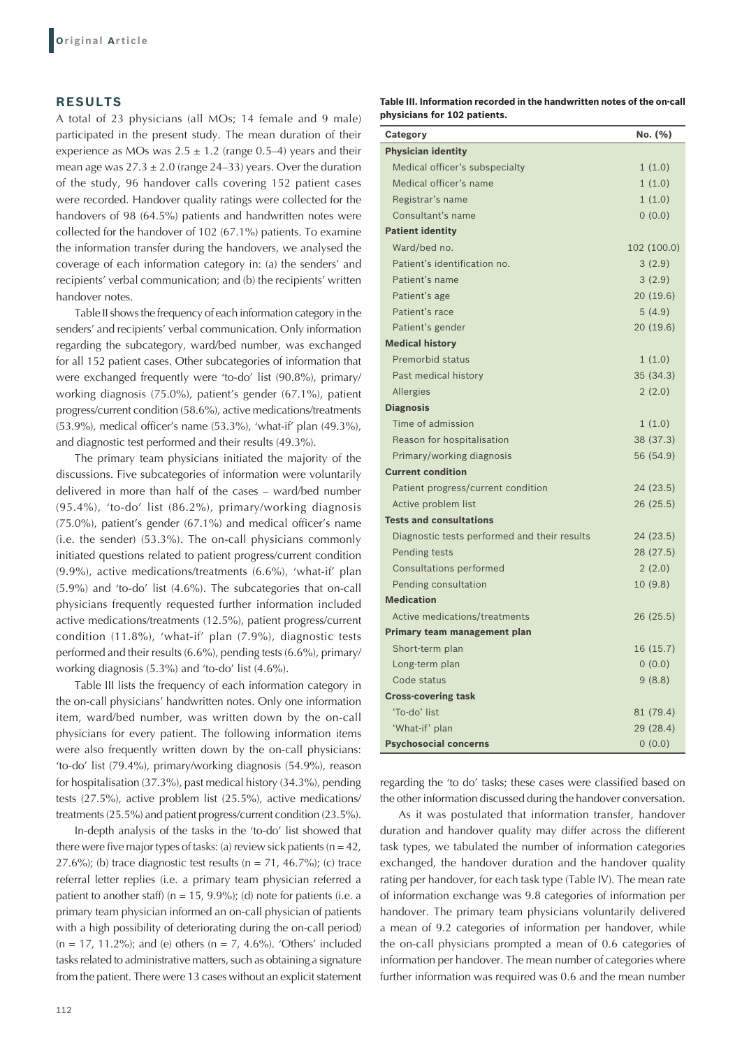# **RESULTS**

A total of 23 physicians (all MOs; 14 female and 9 male) participated in the present study. The mean duration of their experience as MOs was  $2.5 \pm 1.2$  (range 0.5–4) years and their mean age was  $27.3 \pm 2.0$  (range 24–33) years. Over the duration of the study, 96 handover calls covering 152 patient cases were recorded. Handover quality ratings were collected for the handovers of 98 (64.5%) patients and handwritten notes were collected for the handover of 102 (67.1%) patients. To examine the information transfer during the handovers, we analysed the coverage of each information category in: (a) the senders' and recipients' verbal communication; and (b) the recipients' written handover notes.

Table II shows the frequency of each information category in the senders' and recipients' verbal communication. Only information regarding the subcategory, ward/bed number, was exchanged for all 152 patient cases. Other subcategories of information that were exchanged frequently were 'to-do' list (90.8%), primary/ working diagnosis (75.0%), patient's gender (67.1%), patient progress/current condition (58.6%), active medications/treatments (53.9%), medical officer's name (53.3%), 'what-if' plan (49.3%), and diagnostic test performed and their results (49.3%).

The primary team physicians initiated the majority of the discussions. Five subcategories of information were voluntarily delivered in more than half of the cases – ward/bed number (95.4%), 'to-do' list (86.2%), primary/working diagnosis (75.0%), patient's gender (67.1%) and medical officer's name (i.e. the sender) (53.3%). The on-call physicians commonly initiated questions related to patient progress/current condition (9.9%), active medications/treatments (6.6%), 'what-if' plan (5.9%) and 'to-do' list (4.6%). The subcategories that on-call physicians frequently requested further information included active medications/treatments (12.5%), patient progress/current condition (11.8%), 'what-if' plan (7.9%), diagnostic tests performed and their results (6.6%), pending tests (6.6%), primary/ working diagnosis (5.3%) and 'to-do' list (4.6%).

Table III lists the frequency of each information category in the on-call physicians' handwritten notes. Only one information item, ward/bed number, was written down by the on-call physicians for every patient. The following information items were also frequently written down by the on-call physicians: 'to-do' list (79.4%), primary/working diagnosis (54.9%), reason for hospitalisation (37.3%), past medical history (34.3%), pending tests (27.5%), active problem list (25.5%), active medications/ treatments (25.5%) and patient progress/current condition (23.5%).

In-depth analysis of the tasks in the 'to-do' list showed that there were five major types of tasks: (a) review sick patients ( $n = 42$ , 27.6%); (b) trace diagnostic test results ( $n = 71$ , 46.7%); (c) trace referral letter replies (i.e. a primary team physician referred a patient to another staff) ( $n = 15$ , 9.9%); (d) note for patients (i.e. a primary team physician informed an on-call physician of patients with a high possibility of deteriorating during the on-call period)  $(n = 17, 11.2\%)$ ; and (e) others  $(n = 7, 4.6\%)$ . 'Others' included tasks related to administrative matters, such as obtaining a signature from the patient. There were 13 cases without an explicit statement **Table III. Information recorded in the handwritten notes of the on‑call physicians for 102 patients.**

| Category                                     | No. (%)     |
|----------------------------------------------|-------------|
| <b>Physician identity</b>                    |             |
| Medical officer's subspecialty               | 1(1.0)      |
| Medical officer's name                       | 1(1.0)      |
| Registrar's name                             | 1(1.0)      |
| Consultant's name                            | 0(0.0)      |
| <b>Patient identity</b>                      |             |
| Ward/bed no.                                 | 102 (100.0) |
| Patient's identification no.                 | 3(2.9)      |
| Patient's name                               | 3(2.9)      |
| Patient's age                                | 20(19.6)    |
| Patient's race                               | 5(4.9)      |
| Patient's gender                             | 20(19.6)    |
| <b>Medical history</b>                       |             |
| Premorbid status                             | 1(1.0)      |
| Past medical history                         | 35(34.3)    |
| Allergies                                    | 2(2.0)      |
| <b>Diagnosis</b>                             |             |
| Time of admission                            | 1(1.0)      |
| Reason for hospitalisation                   | 38 (37.3)   |
| Primary/working diagnosis                    | 56 (54.9)   |
| <b>Current condition</b>                     |             |
| Patient progress/current condition           | 24(23.5)    |
| Active problem list                          | 26(25.5)    |
| <b>Tests and consultations</b>               |             |
| Diagnostic tests performed and their results | 24(23.5)    |
| Pending tests                                | 28 (27.5)   |
| Consultations performed                      | 2(2.0)      |
| Pending consultation                         | 10 (9.8)    |
| <b>Medication</b>                            |             |
| Active medications/treatments                | 26(25.5)    |
| Primary team management plan                 |             |
| Short-term plan                              | 16 (15.7)   |
| Long-term plan                               | 0(0.0)      |
| Code status                                  | 9(8.8)      |
| <b>Cross-covering task</b>                   |             |
| 'To-do' list                                 | 81 (79.4)   |
| 'What-if' plan                               | 29(28.4)    |
| <b>Psychosocial concerns</b>                 | 0(0.0)      |

regarding the 'to do' tasks; these cases were classified based on the other information discussed during the handover conversation.

As it was postulated that information transfer, handover duration and handover quality may differ across the different task types, we tabulated the number of information categories exchanged, the handover duration and the handover quality rating per handover, for each task type (Table IV). The mean rate of information exchange was 9.8 categories of information per handover. The primary team physicians voluntarily delivered a mean of 9.2 categories of information per handover, while the on-call physicians prompted a mean of 0.6 categories of information per handover. The mean number of categories where further information was required was 0.6 and the mean number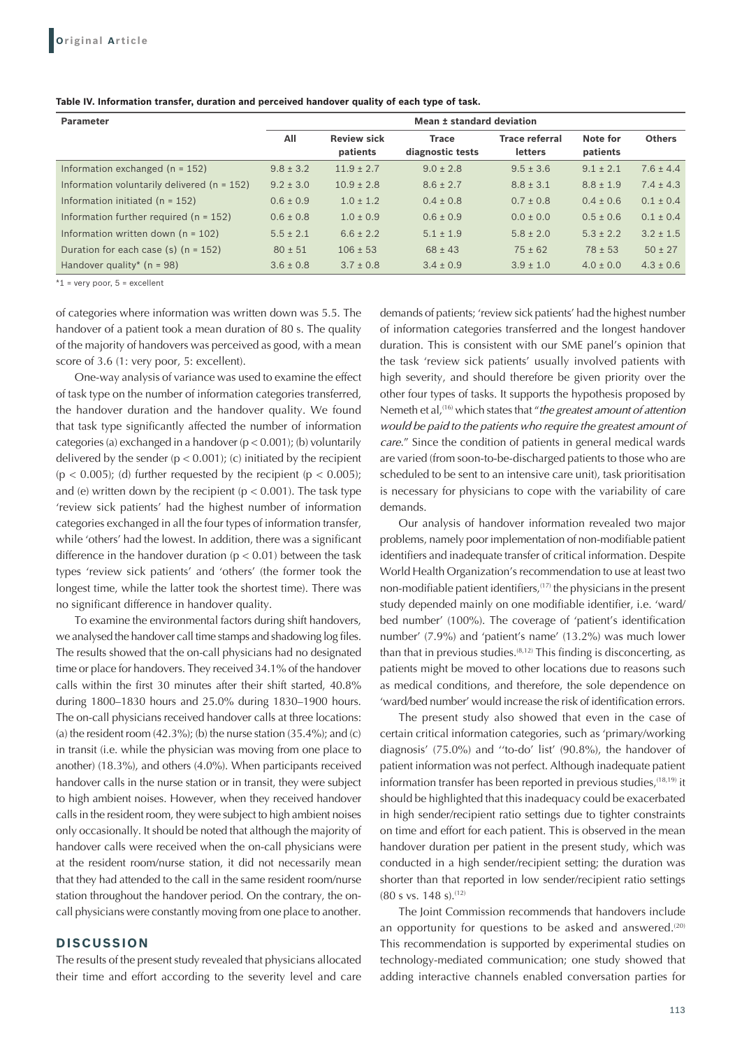| <b>Parameter</b>                                | Mean ± standard deviation |                                |                                  |                                         |                      |               |
|-------------------------------------------------|---------------------------|--------------------------------|----------------------------------|-----------------------------------------|----------------------|---------------|
|                                                 | All                       | <b>Review sick</b><br>patients | <b>Trace</b><br>diagnostic tests | <b>Trace referral</b><br><b>letters</b> | Note for<br>patients | <b>Others</b> |
| Information exchanged $(n = 152)$               | $9.8 \pm 3.2$             | $11.9 \pm 2.7$                 | $9.0 \pm 2.8$                    | $9.5 \pm 3.6$                           | $9.1 \pm 2.1$        | $7.6 \pm 4.4$ |
| Information voluntarily delivered ( $n = 152$ ) | $9.2 \pm 3.0$             | $10.9 \pm 2.8$                 | $8.6 \pm 2.7$                    | $8.8 \pm 3.1$                           | $8.8 \pm 1.9$        | $7.4 \pm 4.3$ |
| Information initiated ( $n = 152$ )             | $0.6 \pm 0.9$             | $1.0 \pm 1.2$                  | $0.4 \pm 0.8$                    | $0.7 \pm 0.8$                           | $0.4 \pm 0.6$        | $0.1 \pm 0.4$ |
| Information further required ( $n = 152$ )      | $0.6 \pm 0.8$             | $1.0 \pm 0.9$                  | $0.6 \pm 0.9$                    | $0.0 \pm 0.0$                           | $0.5 \pm 0.6$        | $0.1 \pm 0.4$ |
| Information written down $(n = 102)$            | $5.5 \pm 2.1$             | $6.6 \pm 2.2$                  | $5.1 \pm 1.9$                    | $5.8 \pm 2.0$                           | $5.3 \pm 2.2$        | $3.2 \pm 1.5$ |
| Duration for each case (s) $(n = 152)$          | $80 \pm 51$               | $106 \pm 53$                   | $68 \pm 43$                      | $75 \pm 62$                             | $78 \pm 53$          | $50 \pm 27$   |
| Handover quality* $(n = 98)$                    | $3.6 \pm 0.8$             | $3.7 \pm 0.8$                  | $3.4 \pm 0.9$                    | $3.9 \pm 1.0$                           | $4.0 \pm 0.0$        | $4.3 \pm 0.6$ |

 $*1$  = very poor,  $5$  = excellent

of categories where information was written down was 5.5. The handover of a patient took a mean duration of 80 s. The quality of the majority of handovers was perceived as good, with a mean score of 3.6 (1: very poor, 5: excellent).

One-way analysis of variance was used to examine the effect of task type on the number of information categories transferred, the handover duration and the handover quality. We found that task type significantly affected the number of information categories (a) exchanged in a handover ( $p < 0.001$ ); (b) voluntarily delivered by the sender  $(p < 0.001)$ ; (c) initiated by the recipient  $(p < 0.005)$ ; (d) further requested by the recipient  $(p < 0.005)$ ; and (e) written down by the recipient ( $p < 0.001$ ). The task type 'review sick patients' had the highest number of information categories exchanged in all the four types of information transfer, while 'others' had the lowest. In addition, there was a significant difference in the handover duration ( $p < 0.01$ ) between the task types 'review sick patients' and 'others' (the former took the longest time, while the latter took the shortest time). There was no significant difference in handover quality.

To examine the environmental factors during shift handovers, we analysed the handover call time stamps and shadowing log files. The results showed that the on-call physicians had no designated time or place for handovers. They received 34.1% of the handover calls within the first 30 minutes after their shift started, 40.8% during 1800–1830 hours and 25.0% during 1830–1900 hours. The on-call physicians received handover calls at three locations: (a) the resident room  $(42.3\%)$ ; (b) the nurse station  $(35.4\%)$ ; and  $(c)$ in transit (i.e. while the physician was moving from one place to another) (18.3%), and others (4.0%). When participants received handover calls in the nurse station or in transit, they were subject to high ambient noises. However, when they received handover calls in the resident room, they were subject to high ambient noises only occasionally. It should be noted that although the majority of handover calls were received when the on-call physicians were at the resident room/nurse station, it did not necessarily mean that they had attended to the call in the same resident room/nurse station throughout the handover period. On the contrary, the oncall physicians were constantly moving from one place to another.

#### **DISCUSSION**

The results of the present study revealed that physicians allocated their time and effort according to the severity level and care demands of patients; 'review sick patients' had the highest number of information categories transferred and the longest handover duration. This is consistent with our SME panel's opinion that the task 'review sick patients' usually involved patients with high severity, and should therefore be given priority over the other four types of tasks. It supports the hypothesis proposed by Nemeth et al,(16) which states that "*the greatest amount of attention would be paid to the patients who require the greatest amount of care*." Since the condition of patients in general medical wards are varied (from soon-to-be-discharged patients to those who are scheduled to be sent to an intensive care unit), task prioritisation is necessary for physicians to cope with the variability of care demands.

Our analysis of handover information revealed two major problems, namely poor implementation of non-modifiable patient identifiers and inadequate transfer of critical information. Despite World Health Organization's recommendation to use at least two non-modifiable patient identifiers,<sup>(17)</sup> the physicians in the present study depended mainly on one modifiable identifier, i.e. 'ward/ bed number' (100%). The coverage of 'patient's identification number' (7.9%) and 'patient's name' (13.2%) was much lower than that in previous studies. $(8,12)$  This finding is disconcerting, as patients might be moved to other locations due to reasons such as medical conditions, and therefore, the sole dependence on 'ward/bed number' would increase the risk of identification errors.

The present study also showed that even in the case of certain critical information categories, such as 'primary/working diagnosis' (75.0%) and ''to-do' list' (90.8%), the handover of patient information was not perfect. Although inadequate patient information transfer has been reported in previous studies,(18,19) it should be highlighted that this inadequacy could be exacerbated in high sender/recipient ratio settings due to tighter constraints on time and effort for each patient. This is observed in the mean handover duration per patient in the present study, which was conducted in a high sender/recipient setting; the duration was shorter than that reported in low sender/recipient ratio settings (80 s vs. 148 s).(12)

The Joint Commission recommends that handovers include an opportunity for questions to be asked and answered.<sup>(20)</sup> This recommendation is supported by experimental studies on technology-mediated communication; one study showed that adding interactive channels enabled conversation parties for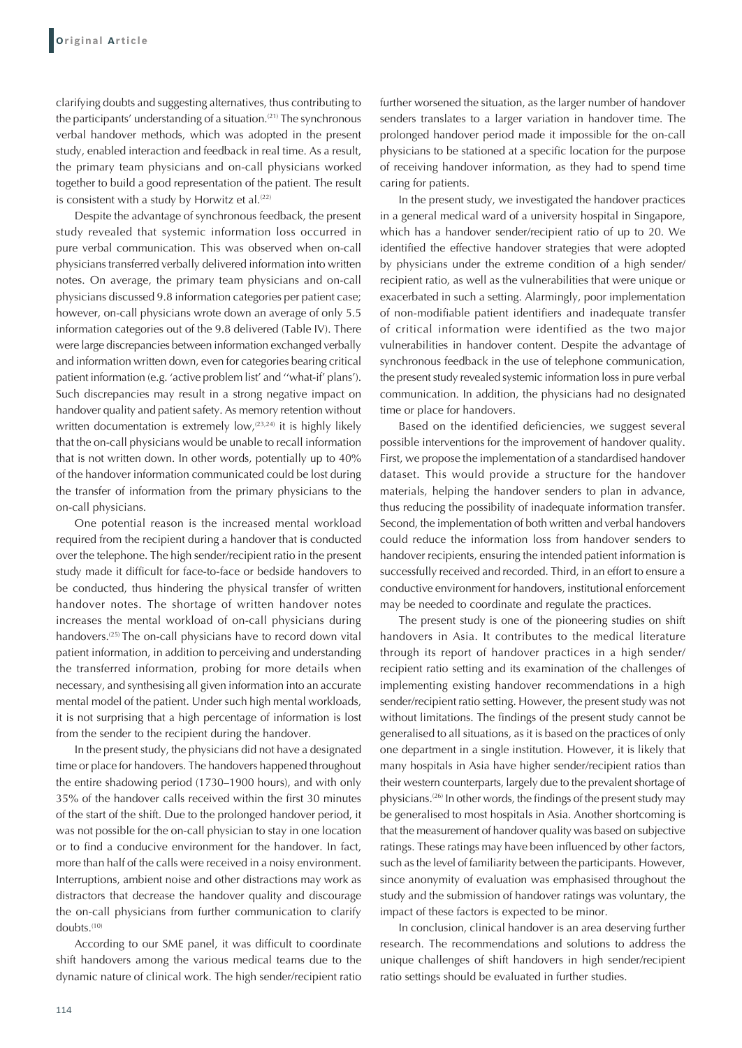clarifying doubts and suggesting alternatives, thus contributing to the participants' understanding of a situation. $(21)$  The synchronous verbal handover methods, which was adopted in the present study, enabled interaction and feedback in real time. As a result, the primary team physicians and on-call physicians worked together to build a good representation of the patient. The result is consistent with a study by Horwitz et al.<sup>(22)</sup>

Despite the advantage of synchronous feedback, the present study revealed that systemic information loss occurred in pure verbal communication. This was observed when on-call physicians transferred verbally delivered information into written notes. On average, the primary team physicians and on-call physicians discussed 9.8 information categories per patient case; however, on-call physicians wrote down an average of only 5.5 information categories out of the 9.8 delivered (Table IV). There were large discrepancies between information exchanged verbally and information written down, even for categories bearing critical patient information (e.g. 'active problem list' and ''what-if' plans'). Such discrepancies may result in a strong negative impact on handover quality and patient safety. As memory retention without written documentation is extremely low,<sup>(23,24)</sup> it is highly likely that the on-call physicians would be unable to recall information that is not written down. In other words, potentially up to 40% of the handover information communicated could be lost during the transfer of information from the primary physicians to the on-call physicians.

One potential reason is the increased mental workload required from the recipient during a handover that is conducted over the telephone. The high sender/recipient ratio in the present study made it difficult for face-to-face or bedside handovers to be conducted, thus hindering the physical transfer of written handover notes. The shortage of written handover notes increases the mental workload of on-call physicians during handovers.<sup>(25)</sup> The on-call physicians have to record down vital patient information, in addition to perceiving and understanding the transferred information, probing for more details when necessary, and synthesising all given information into an accurate mental model of the patient. Under such high mental workloads, it is not surprising that a high percentage of information is lost from the sender to the recipient during the handover.

In the present study, the physicians did not have a designated time or place for handovers. The handovers happened throughout the entire shadowing period (1730–1900 hours), and with only 35% of the handover calls received within the first 30 minutes of the start of the shift. Due to the prolonged handover period, it was not possible for the on-call physician to stay in one location or to find a conducive environment for the handover. In fact, more than half of the calls were received in a noisy environment. Interruptions, ambient noise and other distractions may work as distractors that decrease the handover quality and discourage the on-call physicians from further communication to clarify doubts.(10)

According to our SME panel, it was difficult to coordinate shift handovers among the various medical teams due to the dynamic nature of clinical work. The high sender/recipient ratio further worsened the situation, as the larger number of handover senders translates to a larger variation in handover time. The prolonged handover period made it impossible for the on-call physicians to be stationed at a specific location for the purpose of receiving handover information, as they had to spend time caring for patients.

In the present study, we investigated the handover practices in a general medical ward of a university hospital in Singapore, which has a handover sender/recipient ratio of up to 20. We identified the effective handover strategies that were adopted by physicians under the extreme condition of a high sender/ recipient ratio, as well as the vulnerabilities that were unique or exacerbated in such a setting. Alarmingly, poor implementation of non-modifiable patient identifiers and inadequate transfer of critical information were identified as the two major vulnerabilities in handover content. Despite the advantage of synchronous feedback in the use of telephone communication, the present study revealed systemic information loss in pure verbal communication. In addition, the physicians had no designated time or place for handovers.

Based on the identified deficiencies, we suggest several possible interventions for the improvement of handover quality. First, we propose the implementation of a standardised handover dataset. This would provide a structure for the handover materials, helping the handover senders to plan in advance, thus reducing the possibility of inadequate information transfer. Second, the implementation of both written and verbal handovers could reduce the information loss from handover senders to handover recipients, ensuring the intended patient information is successfully received and recorded. Third, in an effort to ensure a conductive environment for handovers, institutional enforcement may be needed to coordinate and regulate the practices.

The present study is one of the pioneering studies on shift handovers in Asia. It contributes to the medical literature through its report of handover practices in a high sender/ recipient ratio setting and its examination of the challenges of implementing existing handover recommendations in a high sender/recipient ratio setting. However, the present study was not without limitations. The findings of the present study cannot be generalised to all situations, as it is based on the practices of only one department in a single institution. However, it is likely that many hospitals in Asia have higher sender/recipient ratios than their western counterparts, largely due to the prevalent shortage of physicians.<sup>(26)</sup> In other words, the findings of the present study may be generalised to most hospitals in Asia. Another shortcoming is that the measurement of handover quality was based on subjective ratings. These ratings may have been influenced by other factors, such as the level of familiarity between the participants. However, since anonymity of evaluation was emphasised throughout the study and the submission of handover ratings was voluntary, the impact of these factors is expected to be minor.

In conclusion, clinical handover is an area deserving further research. The recommendations and solutions to address the unique challenges of shift handovers in high sender/recipient ratio settings should be evaluated in further studies.